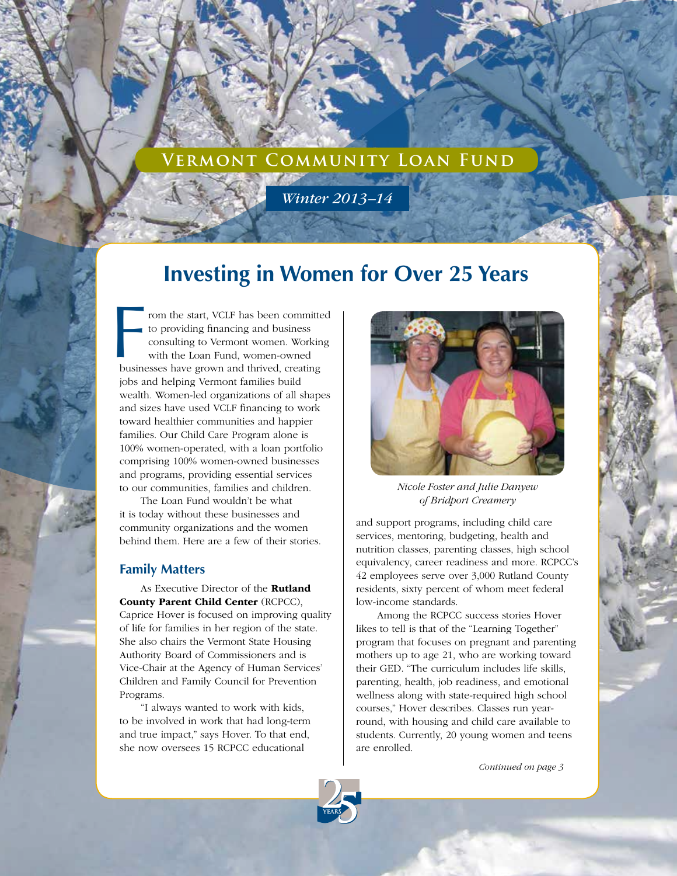# **Vermont Community Loan Fund**

*Winter 2013–14*

# **Investing in Women for Over 25 Years**

From the start, VCLF has been committed to providing financing and business consulting to Vermont women. Working with the Loan Fund, women-owned businesses have grown and thrived, creating rom the start, VCLF has been committed to providing financing and business consulting to Vermont women. Working with the Loan Fund, women-owned jobs and helping Vermont families build wealth. Women-led organizations of all shapes and sizes have used VCLF financing to work toward healthier communities and happier families. Our Child Care Program alone is 100% women-operated, with a loan portfolio comprising 100% women-owned businesses and programs, providing essential services to our communities, families and children.

The Loan Fund wouldn't be what it is today without these businesses and community organizations and the women behind them. Here are a few of their stories.

#### **Family Matters**

As Executive Director of the Rutland County Parent Child Center (RCPCC), Caprice Hover is focused on improving quality of life for families in her region of the state. She also chairs the Vermont State Housing Authority Board of Commissioners and is Vice-Chair at the Agency of Human Services' Children and Family Council for Prevention Programs.

"I always wanted to work with kids, to be involved in work that had long-term and true impact," says Hover. To that end, she now oversees 15 RCPCC educational



*Nicole Foster and Julie Danyew of Bridport Creamery*

and support programs, including child care services, mentoring, budgeting, health and nutrition classes, parenting classes, high school equivalency, career readiness and more. RCPCC's 42 employees serve over 3,000 Rutland County residents, sixty percent of whom meet federal low-income standards.

Among the RCPCC success stories Hover likes to tell is that of the "Learning Together" program that focuses on pregnant and parenting mothers up to age 21, who are working toward their GED. "The curriculum includes life skills, parenting, health, job readiness, and emotional wellness along with state-required high school courses," Hover describes. Classes run yearround, with housing and child care available to students. Currently, 20 young women and teens are enrolled.

*Continued on page 3*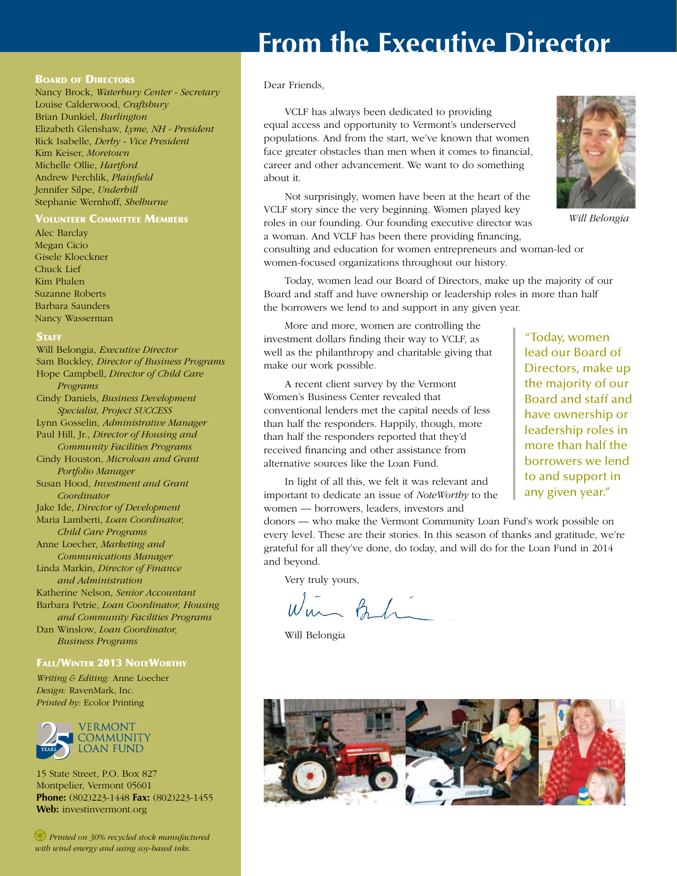# **From the Executive Director**

#### **BOARD OF DIRECTORS**

Nancy Brock, *Waterbury Center - Secretary* Louise Calderwood, *Craftsbury* Brian Dunkiel, *Burlington* Elizabeth Glenshaw, *Lyme, NH - President* Rick Isabelle, *Derby - Vice President* Kim Keiser, *Moretown* Michelle Ollie, *Hartford* Andrew Perchlik, *Plainfield* Jennifer Silpe, *Underhill* Stephanie Wernhoff, *Shelburne*

#### Volunteer Committee Members

Alec Barclay Megan Cicio Gisele Kloeckner Chuck Lief Kim Phalen Suzanne Roberts Barbara Saunders Nancy Wasserman

#### **STAFF**

Will Belongia, *Executive Director* Sam Buckley, *Director of Business Programs* Hope Campbell, *Director of Child Care Programs* Cindy Daniels, *Business Development Specialist, Project SUCCESS* Lynn Gosselin, *Administrative Manager* Paul Hill, Jr., *Director of Housing and Community Facilities Programs* Cindy Houston, *Microloan and Grant Portfolio Manager* Susan Hood, *Investment and Grant Coordinator* Jake Ide, *Director of Development* Maria Lamberti, *Loan Coordinator, Child Care Programs* Anne Loecher, *Marketing and Communications Manager* Linda Markin, *Director of Finance and Administration* Katherine Nelson, *Senior Accountant* Barbara Petrie, *Loan Coordinator, Housing and Community Facilities Programs* Dan Winslow, *Loan Coordinator, Business Programs*

#### Fall/Winter 2013 NoteWorthy

*Writing & Editing:* Anne Loecher *Design:* RavenMark, Inc. *Printed by:* Ecolor Printing



15 State Street, P.O. Box 827 Montpelier, Vermont 05601 **Phone:** (802)223-1448 **Fax:** (802)223-1455 **Web:** investinvermont.org

*Printed on 30% recycled stock manufactured with wind energy and using soy-based inks.*

#### Dear Friends,

VCLF has always been dedicated to providing equal access and opportunity to Vermont's underserved populations. And from the start, we've known that women face greater obstacles than men when it comes to financial, career and other advancement. We want to do something about it.

Not surprisingly, women have been at the heart of the VCLF story since the very beginning. Women played key roles in our founding. Our founding executive director was a woman. And VCLF has been there providing financing, consulting and education for women entrepreneurs and woman-led or women-focused organizations throughout our history.



*Will Belongia*

Today, women lead our Board of Directors, make up the majority of our Board and staff and have ownership or leadership roles in more than half the borrowers we lend to and support in any given year.

More and more, women are controlling the investment dollars finding their way to VCLF, as well as the philanthropy and charitable giving that make our work possible.

A recent client survey by the Vermont Women's Business Center revealed that conventional lenders met the capital needs of less than half the responders. Happily, though, more than half the responders reported that they'd received financing and other assistance from alternative sources like the Loan Fund.

In light of all this, we felt it was relevant and important to dedicate an issue of *NoteWorthy* to the women — borrowers, leaders, investors and

donors — who make the Vermont Community Loan Fund's work possible on every level. These are their stories. In this season of thanks and gratitude, we're grateful for all they've done, do today, and will do for the Loan Fund in 2014 and beyond.

Very truly yours,

Win Behi

Will Belongia



"Today, women lead our Board of Directors, make up the majority of our Board and staff and have ownership or leadership roles in more than half the borrowers we lend to and support in any given year."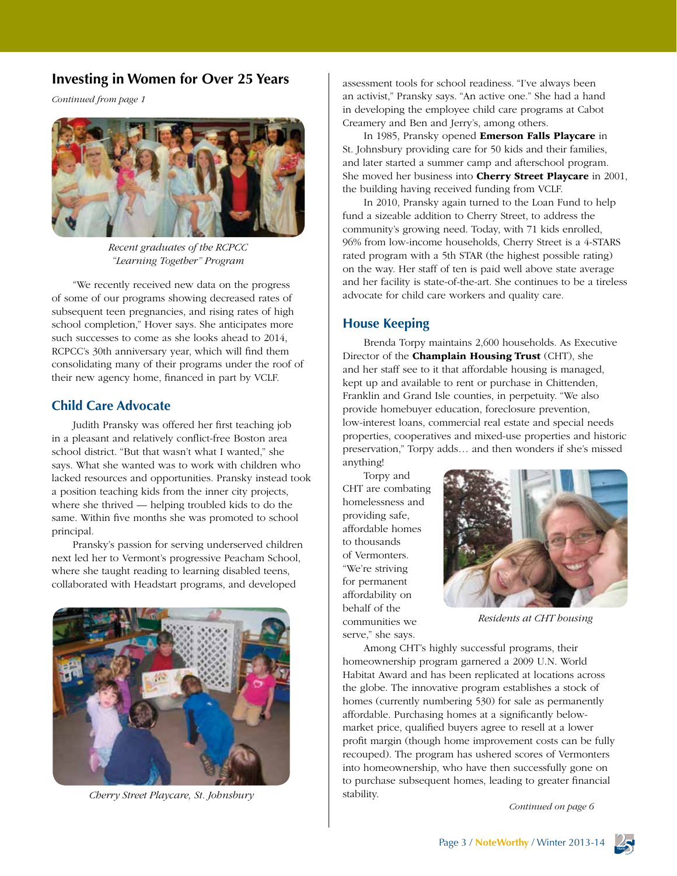### **Investing in Women for Over 25 Years**

*Continued from page 1*



*Recent graduates of the RCPCC "Learning Together" Program*

"We recently received new data on the progress of some of our programs showing decreased rates of subsequent teen pregnancies, and rising rates of high school completion," Hover says. She anticipates more such successes to come as she looks ahead to 2014, RCPCC's 30th anniversary year, which will find them consolidating many of their programs under the roof of their new agency home, financed in part by VCLF.

### **Child Care Advocate**

Judith Pransky was offered her first teaching job in a pleasant and relatively conflict-free Boston area school district. "But that wasn't what I wanted," she says. What she wanted was to work with children who lacked resources and opportunities. Pransky instead took a position teaching kids from the inner city projects, where she thrived — helping troubled kids to do the same. Within five months she was promoted to school principal.

Pransky's passion for serving underserved children next led her to Vermont's progressive Peacham School, where she taught reading to learning disabled teens, collaborated with Headstart programs, and developed



*Cherry Street Playcare, St. Johnsbury*

assessment tools for school readiness. "I've always been an activist," Pransky says. "An active one." She had a hand in developing the employee child care programs at Cabot Creamery and Ben and Jerry's, among others.

In 1985, Pransky opened Emerson Falls Playcare in St. Johnsbury providing care for 50 kids and their families, and later started a summer camp and afterschool program. She moved her business into Cherry Street Playcare in 2001, the building having received funding from VCLF.

In 2010, Pransky again turned to the Loan Fund to help fund a sizeable addition to Cherry Street, to address the community's growing need. Today, with 71 kids enrolled, 96% from low-income households, Cherry Street is a 4-STARS rated program with a 5th STAR (the highest possible rating) on the way. Her staff of ten is paid well above state average and her facility is state-of-the-art. She continues to be a tireless advocate for child care workers and quality care.

### **House Keeping**

Brenda Torpy maintains 2,600 households. As Executive Director of the **Champlain Housing Trust** (CHT), she and her staff see to it that affordable housing is managed, kept up and available to rent or purchase in Chittenden, Franklin and Grand Isle counties, in perpetuity. "We also provide homebuyer education, foreclosure prevention, low-interest loans, commercial real estate and special needs properties, cooperatives and mixed-use properties and historic preservation," Torpy adds… and then wonders if she's missed anything!

Torpy and CHT are combating homelessness and providing safe, affordable homes to thousands of Vermonters. "We're striving for permanent affordability on behalf of the communities we serve," she says.



*Residents at CHT housing*

Among CHT's highly successful programs, their homeownership program garnered a 2009 U.N. World Habitat Award and has been replicated at locations across the globe. The innovative program establishes a stock of homes (currently numbering 530) for sale as permanently affordable. Purchasing homes at a significantly belowmarket price, qualified buyers agree to resell at a lower profit margin (though home improvement costs can be fully recouped). The program has ushered scores of Vermonters into homeownership, who have then successfully gone on to purchase subsequent homes, leading to greater financial stability.

*Continued on page 6*

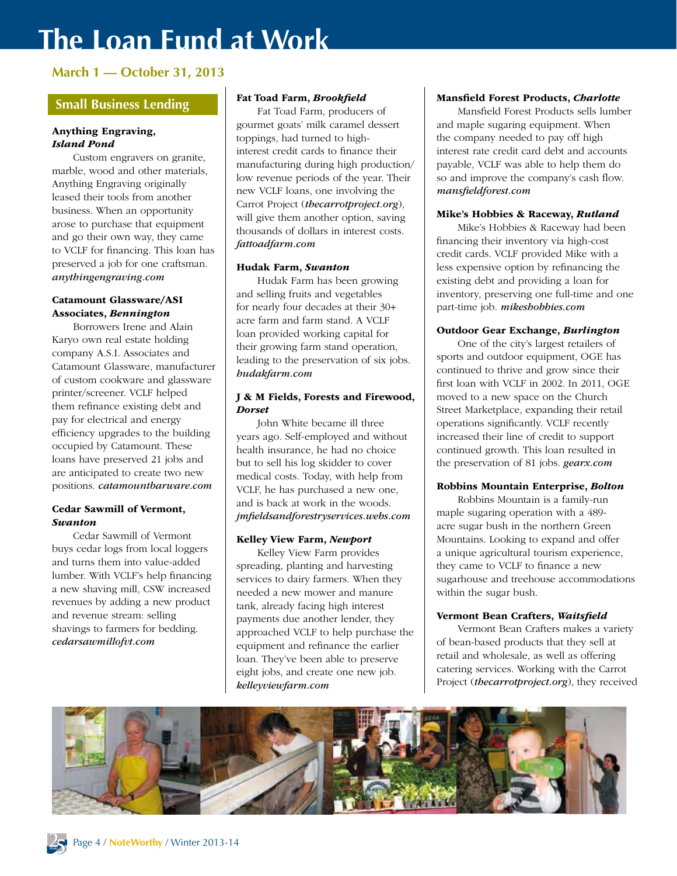# **The Loan Fund at Work**

## **March 1 — October 31, 2013**

## **Small Business Lending**

#### Anything Engraving, *Island Pond*

Custom engravers on granite, marble, wood and other materials, Anything Engraving originally leased their tools from another business. When an opportunity arose to purchase that equipment and go their own way, they came to VCLF for financing. This loan has preserved a job for one craftsman. *anythingengraving.com*

#### Catamount Glassware/ASI Associates, *Bennington*

Borrowers Irene and Alain Karyo own real estate holding company A.S.I. Associates and Catamount Glassware, manufacturer of custom cookware and glassware printer/screener. VCLF helped them refinance existing debt and pay for electrical and energy efficiency upgrades to the building occupied by Catamount. These loans have preserved 21 jobs and are anticipated to create two new positions. *catamountbarware.com*

#### Cedar Sawmill of Vermont, *Swanton*

Cedar Sawmill of Vermont buys cedar logs from local loggers and turns them into value-added lumber. With VCLF's help financing a new shaving mill, CSW increased revenues by adding a new product and revenue stream: selling shavings to farmers for bedding. *cedarsawmillofvt.com*

#### Fat Toad Farm, *Brookfield*

Fat Toad Farm, producers of gourmet goats' milk caramel dessert toppings, had turned to highinterest credit cards to finance their manufacturing during high production/ low revenue periods of the year. Their new VCLF loans, one involving the Carrot Project (*thecarrotproject.org*), will give them another option, saving thousands of dollars in interest costs. *fattoadfarm.com* 

#### Hudak Farm, *Swanton*

Hudak Farm has been growing and selling fruits and vegetables for nearly four decades at their 30+ acre farm and farm stand. A VCLF loan provided working capital for their growing farm stand operation, leading to the preservation of six jobs. *hudakfarm.com*

#### J & M Fields, Forests and Firewood, *Dorset*

John White became ill three years ago. Self-employed and without health insurance, he had no choice but to sell his log skidder to cover medical costs. Today, with help from VCLF, he has purchased a new one, and is back at work in the woods. *jmfieldsandforestryservices.webs.com*

#### Kelley View Farm, *Newport*

Kelley View Farm provides spreading, planting and harvesting services to dairy farmers. When they needed a new mower and manure tank, already facing high interest payments due another lender, they approached VCLF to help purchase the equipment and refinance the earlier loan. They've been able to preserve eight jobs, and create one new job. *kelleyviewfarm.com*

#### Mansfield Forest Products, *Charlotte*

Mansfield Forest Products sells lumber and maple sugaring equipment. When the company needed to pay off high interest rate credit card debt and accounts payable, VCLF was able to help them do so and improve the company's cash flow. *mansfieldforest.com*

#### Mike's Hobbies & Raceway, *Rutland*

Mike's Hobbies & Raceway had been financing their inventory via high-cost credit cards. VCLF provided Mike with a less expensive option by refinancing the existing debt and providing a loan for inventory, preserving one full-time and one part-time job. *mikeshobbies.com*

#### Outdoor Gear Exchange, *Burlington*

One of the city's largest retailers of sports and outdoor equipment, OGE has continued to thrive and grow since their first loan with VCLF in 2002. In 2011, OGE moved to a new space on the Church Street Marketplace, expanding their retail operations significantly. VCLF recently increased their line of credit to support continued growth. This loan resulted in the preservation of 81 jobs. *gearx.com*

#### Robbins Mountain Enterprise, *Bolton*

Robbins Mountain is a family-run maple sugaring operation with a 489 acre sugar bush in the northern Green Mountains. Looking to expand and offer a unique agricultural tourism experience, they came to VCLF to finance a new sugarhouse and treehouse accommodations within the sugar bush.

#### Vermont Bean Crafters, *Waitsfield*

Vermont Bean Crafters makes a variety of bean-based products that they sell at retail and wholesale, as well as offering catering services. Working with the Carrot Project (*thecarrotproject.org*), they received

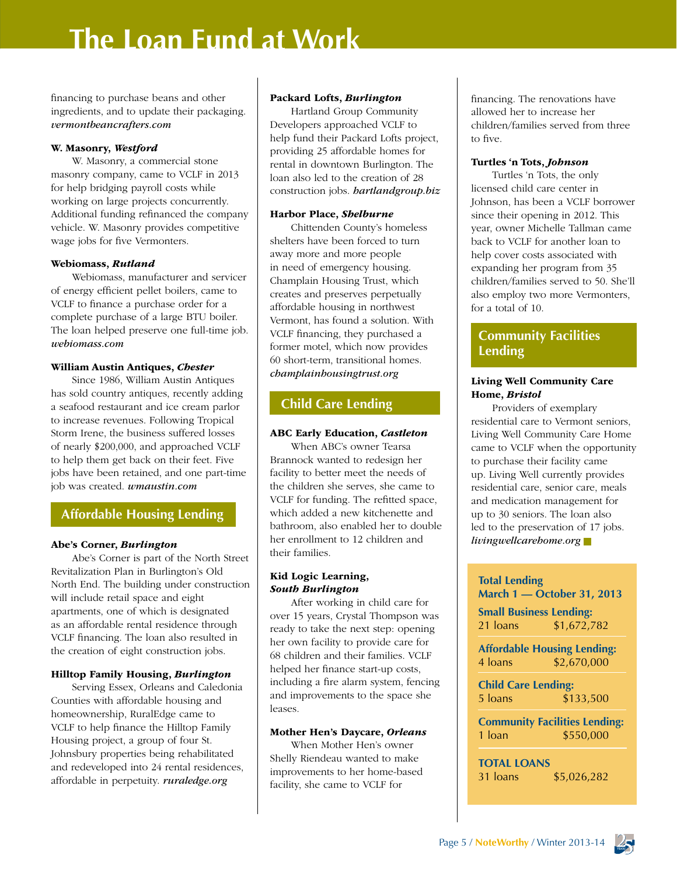# **The Loan Fund at Work**

financing to purchase beans and other ingredients, and to update their packaging. *vermontbeancrafters.com*

#### W. Masonry, *Westford*

W. Masonry, a commercial stone masonry company, came to VCLF in 2013 for help bridging payroll costs while working on large projects concurrently. Additional funding refinanced the company vehicle. W. Masonry provides competitive wage jobs for five Vermonters.

#### Webiomass, *Rutland*

Webiomass, manufacturer and servicer of energy efficient pellet boilers, came to VCLF to finance a purchase order for a complete purchase of a large BTU boiler. The loan helped preserve one full-time job. *webiomass.com*

#### William Austin Antiques, *Chester*

Since 1986, William Austin Antiques has sold country antiques, recently adding a seafood restaurant and ice cream parlor to increase revenues. Following Tropical Storm Irene, the business suffered losses of nearly \$200,000, and approached VCLF to help them get back on their feet. Five jobs have been retained, and one part-time job was created. *wmaustin.com*

### **Affordable Housing Lending**

#### Abe's Corner, *Burlington*

Abe's Corner is part of the North Street Revitalization Plan in Burlington's Old North End. The building under construction will include retail space and eight apartments, one of which is designated as an affordable rental residence through VCLF financing. The loan also resulted in the creation of eight construction jobs.

#### Hilltop Family Housing, *Burlington*

Serving Essex, Orleans and Caledonia Counties with affordable housing and homeownership, RuralEdge came to VCLF to help finance the Hilltop Family Housing project, a group of four St. Johnsbury properties being rehabilitated and redeveloped into 24 rental residences, affordable in perpetuity. *ruraledge.org*

#### Packard Lofts, *Burlington*

Hartland Group Community Developers approached VCLF to help fund their Packard Lofts project, providing 25 affordable homes for rental in downtown Burlington. The loan also led to the creation of 28 construction jobs. *hartlandgroup.biz*

#### Harbor Place, *Shelburne*

Chittenden County's homeless shelters have been forced to turn away more and more people in need of emergency housing. Champlain Housing Trust, which creates and preserves perpetually affordable housing in northwest Vermont, has found a solution. With VCLF financing, they purchased a former motel, which now provides 60 short-term, transitional homes. *champlainhousingtrust.org*

### **Child Care Lending**

#### ABC Early Education, *Castleton*

When ABC's owner Tearsa Brannock wanted to redesign her facility to better meet the needs of the children she serves, she came to VCLF for funding. The refitted space, which added a new kitchenette and bathroom, also enabled her to double her enrollment to 12 children and their families.

#### Kid Logic Learning, *South Burlington*

After working in child care for over 15 years, Crystal Thompson was ready to take the next step: opening her own facility to provide care for 68 children and their families. VCLF helped her finance start-up costs, including a fire alarm system, fencing and improvements to the space she leases.

#### Mother Hen's Daycare, *Orleans*

When Mother Hen's owner Shelly Riendeau wanted to make improvements to her home-based facility, she came to VCLF for

financing. The renovations have allowed her to increase her children/families served from three to five.

#### Turtles 'n Tots, *Johnson*

Turtles 'n Tots, the only licensed child care center in Johnson, has been a VCLF borrower since their opening in 2012. This year, owner Michelle Tallman came back to VCLF for another loan to help cover costs associated with expanding her program from 35 children/families served to 50. She'll also employ two more Vermonters, for a total of 10.

## **Community Facilities Lending**

#### Living Well Community Care Home, *Bristol*

Providers of exemplary residential care to Vermont seniors, Living Well Community Care Home came to VCLF when the opportunity to purchase their facility came up. Living Well currently provides residential care, senior care, meals and medication management for up to 30 seniors. The loan also led to the preservation of 17 jobs. *livingwellcarehome.org*

#### **Total Lending**

**March 1 — October 31, 2013**

**Small Business Lending:** 21 loans \$1,672,782

**Affordable Housing Lending:** 4 loans \$2,670,000

**Child Care Lending:** 5 loans \$133,500

**Community Facilities Lending:** 1 loan \$550,000

**TOTAL LOANS** 31 loans \$5,026,282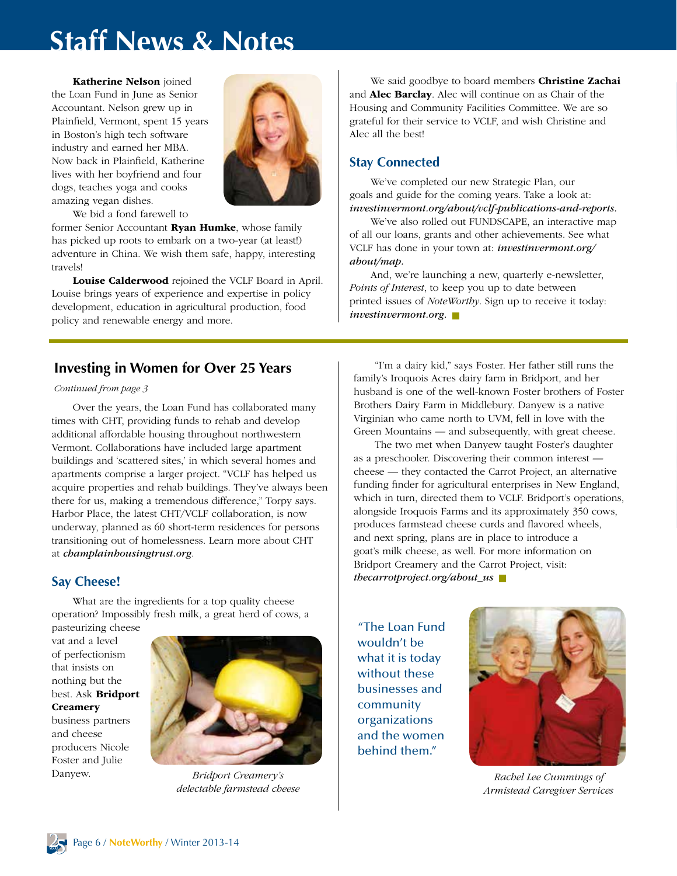# **Staff News & Notes**

Katherine Nelson joined the Loan Fund in June as Senior Accountant. Nelson grew up in Plainfield, Vermont, spent 15 years in Boston's high tech software industry and earned her MBA. Now back in Plainfield, Katherine lives with her boyfriend and four dogs, teaches yoga and cooks amazing vegan dishes.



We bid a fond farewell to

former Senior Accountant **Ryan Humke**, whose family has picked up roots to embark on a two-year (at least!) adventure in China. We wish them safe, happy, interesting travels!

Louise Calderwood rejoined the VCLF Board in April. Louise brings years of experience and expertise in policy development, education in agricultural production, food policy and renewable energy and more.

### **Investing in Women for Over 25 Years**

#### *Continued from page 3*

Over the years, the Loan Fund has collaborated many times with CHT, providing funds to rehab and develop additional affordable housing throughout northwestern Vermont. Collaborations have included large apartment buildings and 'scattered sites,' in which several homes and apartments comprise a larger project. "VCLF has helped us acquire properties and rehab buildings. They've always been there for us, making a tremendous difference," Torpy says. Harbor Place, the latest CHT/VCLF collaboration, is now underway, planned as 60 short-term residences for persons transitioning out of homelessness. Learn more about CHT at *champlainhousingtrust.org*.

#### **Say Cheese!**

What are the ingredients for a top quality cheese operation? Impossibly fresh milk, a great herd of cows, a

pasteurizing cheese vat and a level of perfectionism that insists on nothing but the best. Ask Bridport **Creamery** business partners and cheese producers Nicole Foster and Julie



*Bridport Creamery's delectable farmstead cheese*

We said goodbye to board members **Christine Zachai** and Alec Barclay. Alec will continue on as Chair of the Housing and Community Facilities Committee. We are so grateful for their service to VCLF, and wish Christine and Alec all the best!

#### **Stay Connected**

We've completed our new Strategic Plan, our goals and guide for the coming years. Take a look at: *investinvermont.org/about/vclf-publications-and-reports.*

We've also rolled out FUNDSCAPE, an interactive map of all our loans, grants and other achievements. See what VCLF has done in your town at: *investinvermont.org/ about/map.*

And, we're launching a new, quarterly e-newsletter, *Points of Interest*, to keep you up to date between printed issues of *NoteWorthy*. Sign up to receive it today: *investinvermont.org.*

"I'm a dairy kid," says Foster. Her father still runs the family's Iroquois Acres dairy farm in Bridport, and her husband is one of the well-known Foster brothers of Foster Brothers Dairy Farm in Middlebury. Danyew is a native Virginian who came north to UVM, fell in love with the Green Mountains — and subsequently, with great cheese.

The two met when Danyew taught Foster's daughter as a preschooler. Discovering their common interest cheese — they contacted the Carrot Project, an alternative funding finder for agricultural enterprises in New England, which in turn, directed them to VCLF. Bridport's operations, alongside Iroquois Farms and its approximately 350 cows, produces farmstead cheese curds and flavored wheels, and next spring, plans are in place to introduce a goat's milk cheese, as well. For more information on Bridport Creamery and the Carrot Project, visit: *thecarrotproject.org/about\_us*

"The Loan Fund wouldn't be what it is today without these businesses and community organizations and the women behind them."



Danyew. *Bridport Creamery's* and *Rachel Lee Cummings of Rachel Lee Cummings of Armistead Caregiver Services*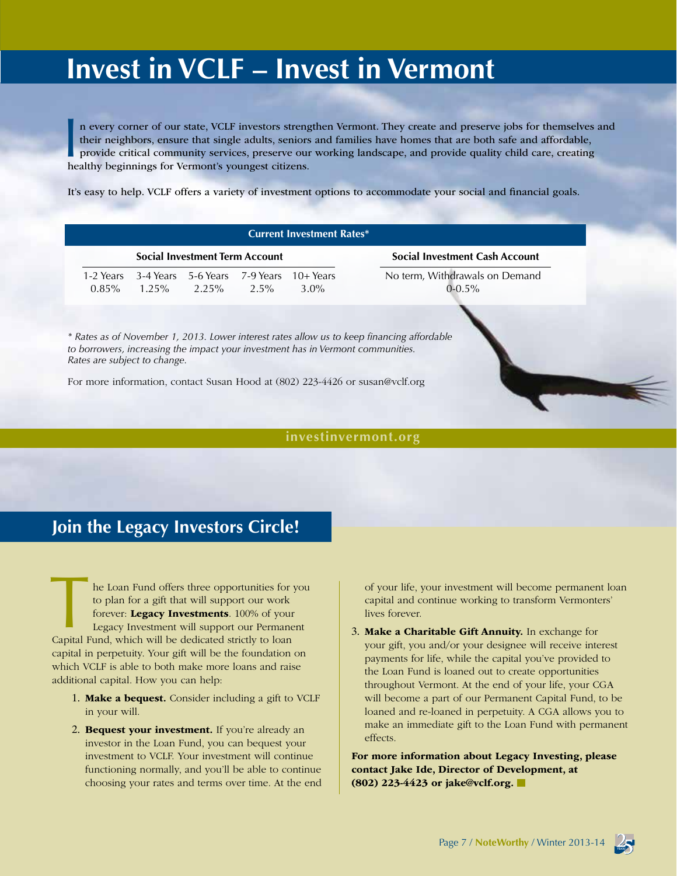# **Invest in VCLF – Invest in Vermont**

In every corner of our state, VCLF investors streng<br>their neighbors, ensure that single adults, seniors<br>provide critical community services, preserve our<br>healthy beginnings for Vermont's youngest citizens. n every corner of our state, VCLF investors strengthen Vermont. They create and preserve jobs for themselves and their neighbors, ensure that single adults, seniors and families have homes that are both safe and affordable, provide critical community services, preserve our working landscape, and provide quality child care, creating

It's easy to help. VCLF offers a variety of investment options to accommodate your social and financial goals.

| <b>Social Investment Term Account</b> |  |                                                            |  |                       | <b>Social Investment Cash Account</b>         |
|---------------------------------------|--|------------------------------------------------------------|--|-----------------------|-----------------------------------------------|
| 1-2 Years<br>$0.85\%$                 |  | 3-4 Years 5-6 Years 7-9 Years<br>$1.25\%$ $2.25\%$ $2.5\%$ |  | $10+Years$<br>$3.0\%$ | No term, Withdrawals on Demand<br>$0 - 0.5\%$ |
|                                       |  |                                                            |  |                       |                                               |

#### **[investinvermont.org](www.investinvermont.org)**

## **Join the Legacy Investors Circle!**

 he Loan Fund offers three opportunities for you to plan for a gift that will support our work forever: Legacy Investments. 100% of your Legacy Investment will support our Permanent The Loan Fund offers three opportunities for the dependence of to plan for a gift that will support our work forever: **Legacy Investments**. 100% of your Legacy Investment will support our Permane Capital Fund, which will b capital in perpetuity. Your gift will be the foundation on which VCLF is able to both make more loans and raise additional capital. How you can help:

- 1. Make a bequest. Consider including a gift to VCLF in your will.
- 2. Bequest your investment. If you're already an investor in the Loan Fund, you can bequest your investment to VCLF. Your investment will continue functioning normally, and you'll be able to continue choosing your rates and terms over time. At the end

of your life, your investment will become permanent loan capital and continue working to transform Vermonters' lives forever.

3. Make a Charitable Gift Annuity. In exchange for your gift, you and/or your designee will receive interest payments for life, while the capital you've provided to the Loan Fund is loaned out to create opportunities throughout Vermont. At the end of your life, your CGA will become a part of our Permanent Capital Fund, to be loaned and re-loaned in perpetuity. A CGA allows you to make an immediate gift to the Loan Fund with permanent effects.

For more information about Legacy Investing, please contact Jake Ide, Director of Development, at (802) 223-4423 or [jake@vclf.org](mailto:jake%40vclf.org?subject=Legacy%20Investment%20).